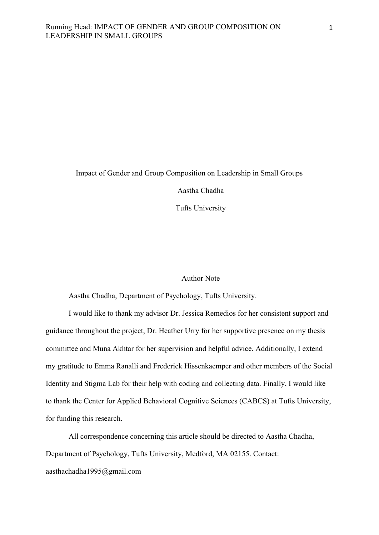# Impact of Gender and Group Composition on Leadership in Small Groups Aastha Chadha Tufts University

## Author Note

Aastha Chadha, Department of Psychology, Tufts University.

I would like to thank my advisor Dr. Jessica Remedios for her consistent support and guidance throughout the project, Dr. Heather Urry for her supportive presence on my thesis committee and Muna Akhtar for her supervision and helpful advice. Additionally, I extend my gratitude to Emma Ranalli and Frederick Hissenkaemper and other members of the Social Identity and Stigma Lab for their help with coding and collecting data. Finally, I would like to thank the Center for Applied Behavioral Cognitive Sciences (CABCS) at Tufts University, for funding this research.

All correspondence concerning this article should be directed to Aastha Chadha, Department of Psychology, Tufts University, Medford, MA 02155. Contact:

aasthachadha1995@gmail.com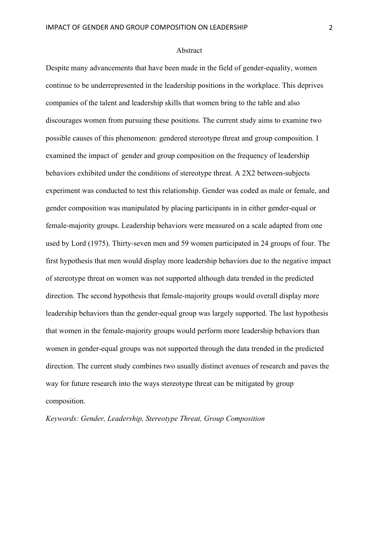#### Abstract

Despite many advancements that have been made in the field of gender-equality, women continue to be underrepresented in the leadership positions in the workplace. This deprives companies of the talent and leadership skills that women bring to the table and also discourages women from pursuing these positions. The current study aims to examine two possible causes of this phenomenon: gendered stereotype threat and group composition. I examined the impact of gender and group composition on the frequency of leadership behaviors exhibited under the conditions of stereotype threat. A 2X2 between-subjects experiment was conducted to test this relationship. Gender was coded as male or female, and gender composition was manipulated by placing participants in in either gender-equal or female-majority groups. Leadership behaviors were measured on a scale adapted from one used by Lord (1975). Thirty-seven men and 59 women participated in 24 groups of four. The first hypothesis that men would display more leadership behaviors due to the negative impact of stereotype threat on women was not supported although data trended in the predicted direction. The second hypothesis that female-majority groups would overall display more leadership behaviors than the gender-equal group was largely supported. The last hypothesis that women in the female-majority groups would perform more leadership behaviors than women in gender-equal groups was not supported through the data trended in the predicted direction. The current study combines two usually distinct avenues of research and paves the way for future research into the ways stereotype threat can be mitigated by group composition.

*Keywords: Gender, Leadership, Stereotype Threat, Group Composition*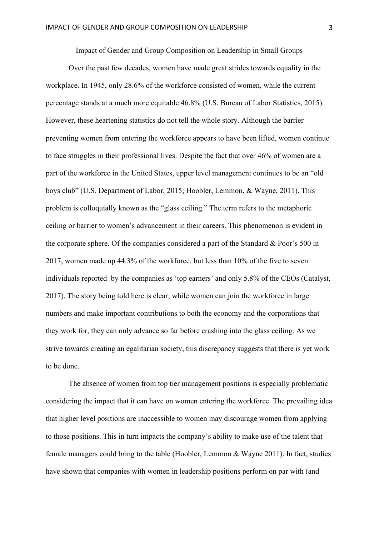Impact of Gender and Group Composition on Leadership in Small Groups

Over the past few decades, women have made great strides towards equality in the workplace. In 1945, only 28.6% of the workforce consisted of women, while the current percentage stands at a much more equitable 46.8% (U.S. Bureau of Labor Statistics, 2015). However, these heartening statistics do not tell the whole story. Although the barrier preventing women from entering the workforce appears to have been lifted, women continue to face struggles in their professional lives. Despite the fact that over 46% of women are a part of the workforce in the United States, upper level management continues to be an "old boys club" (U.S. Department of Labor, 2015; Hoobler, Lemmon, & Wayne, 2011). This problem is colloquially known as the "glass ceiling." The term refers to the metaphoric ceiling or barrier to women's advancement in their careers. This phenomenon is evident in the corporate sphere. Of the companies considered a part of the Standard & Poor's 500 in 2017, women made up 44.3% of the workforce, but less than 10% of the five to seven individuals reported by the companies as 'top earners' and only 5.8% of the CEOs (Catalyst, 2017). The story being told here is clear; while women can join the workforce in large numbers and make important contributions to both the economy and the corporations that they work for, they can only advance so far before crashing into the glass ceiling. As we strive towards creating an egalitarian society, this discrepancy suggests that there is yet work to be done.

The absence of women from top tier management positions is especially problematic considering the impact that it can have on women entering the workforce. The prevailing idea that higher level positions are inaccessible to women may discourage women from applying to those positions. This in turn impacts the company's ability to make use of the talent that female managers could bring to the table (Hoobler, Lemmon & Wayne 2011). In fact, studies have shown that companies with women in leadership positions perform on par with (and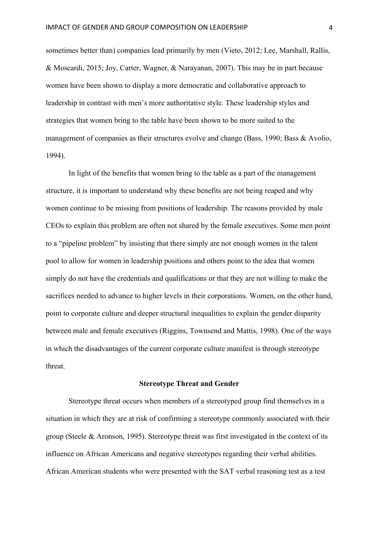sometimes better than) companies lead primarily by men (Vieto, 2012; Lee, Marshall, Rallis, & Moscardi, 2015; Joy, Carter, Wagner, & Narayanan, 2007). This may be in part because women have been shown to display a more democratic and collaborative approach to leadership in contrast with men's more authoritative style. These leadership styles and strategies that women bring to the table have been shown to be more suited to the management of companies as their structures evolve and change (Bass, 1990; Bass & Avolio, 1994).

In light of the benefits that women bring to the table as a part of the management structure, it is important to understand why these benefits are not being reaped and why women continue to be missing from positions of leadership. The reasons provided by male CEOs to explain this problem are often not shared by the female executives. Some men point to a "pipeline problem" by insisting that there simply are not enough women in the talent pool to allow for women in leadership positions and others point to the idea that women simply do not have the credentials and qualifications or that they are not willing to make the sacrifices needed to advance to higher levels in their corporations. Women, on the other hand, point to corporate culture and deeper structural inequalities to explain the gender disparity between male and female executives (Riggins, Townsend and Mattis, 1998). One of the ways in which the disadvantages of the current corporate culture manifest is through stereotype threat.

#### **Stereotype Threat and Gender**

Stereotype threat occurs when members of a stereotyped group find themselves in a situation in which they are at risk of confirming a stereotype commonly associated with their group (Steele & Aronson, 1995). Stereotype threat was first investigated in the context of its influence on African Americans and negative stereotypes regarding their verbal abilities. African American students who were presented with the SAT verbal reasoning test as a test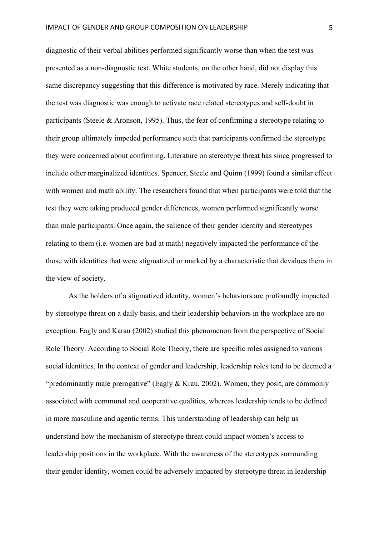diagnostic of their verbal abilities performed significantly worse than when the test was presented as a non-diagnostic test. White students, on the other hand, did not display this same discrepancy suggesting that this difference is motivated by race. Merely indicating that the test was diagnostic was enough to activate race related stereotypes and self-doubt in participants (Steele & Aronson, 1995). Thus, the fear of confirming a stereotype relating to their group ultimately impeded performance such that participants confirmed the stereotype they were concerned about confirming. Literature on stereotype threat has since progressed to include other marginalized identities. Spencer, Steele and Quinn (1999) found a similar effect with women and math ability. The researchers found that when participants were told that the test they were taking produced gender differences, women performed significantly worse than male participants. Once again, the salience of their gender identity and stereotypes relating to them (i.e. women are bad at math) negatively impacted the performance of the those with identities that were stigmatized or marked by a characteristic that devalues them in the view of society.

As the holders of a stigmatized identity, women's behaviors are profoundly impacted by stereotype threat on a daily basis, and their leadership behaviors in the workplace are no exception. Eagly and Karau (2002) studied this phenomenon from the perspective of Social Role Theory. According to Social Role Theory, there are specific roles assigned to various social identities. In the context of gender and leadership, leadership roles tend to be deemed a "predominantly male prerogative" (Eagly & Krau, 2002). Women, they posit, are commonly associated with communal and cooperative qualities, whereas leadership tends to be defined in more masculine and agentic terms. This understanding of leadership can help us understand how the mechanism of stereotype threat could impact women's access to leadership positions in the workplace. With the awareness of the stereotypes surrounding their gender identity, women could be adversely impacted by stereotype threat in leadership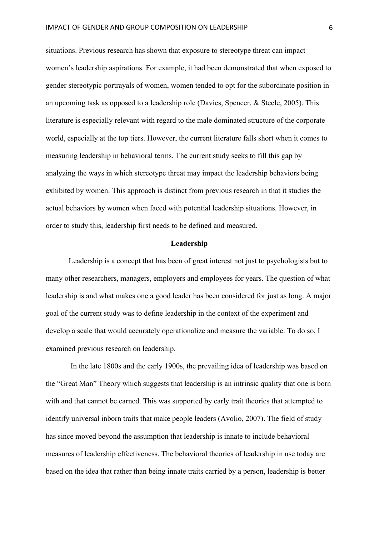situations. Previous research has shown that exposure to stereotype threat can impact women's leadership aspirations. For example, it had been demonstrated that when exposed to gender stereotypic portrayals of women, women tended to opt for the subordinate position in an upcoming task as opposed to a leadership role (Davies, Spencer, & Steele, 2005). This literature is especially relevant with regard to the male dominated structure of the corporate world, especially at the top tiers. However, the current literature falls short when it comes to measuring leadership in behavioral terms. The current study seeks to fill this gap by analyzing the ways in which stereotype threat may impact the leadership behaviors being exhibited by women. This approach is distinct from previous research in that it studies the actual behaviors by women when faced with potential leadership situations. However, in order to study this, leadership first needs to be defined and measured.

### **Leadership**

Leadership is a concept that has been of great interest not just to psychologists but to many other researchers, managers, employers and employees for years. The question of what leadership is and what makes one a good leader has been considered for just as long. A major goal of the current study was to define leadership in the context of the experiment and develop a scale that would accurately operationalize and measure the variable. To do so, I examined previous research on leadership.

In the late 1800s and the early 1900s, the prevailing idea of leadership was based on the "Great Man" Theory which suggests that leadership is an intrinsic quality that one is born with and that cannot be earned. This was supported by early trait theories that attempted to identify universal inborn traits that make people leaders (Avolio, 2007). The field of study has since moved beyond the assumption that leadership is innate to include behavioral measures of leadership effectiveness. The behavioral theories of leadership in use today are based on the idea that rather than being innate traits carried by a person, leadership is better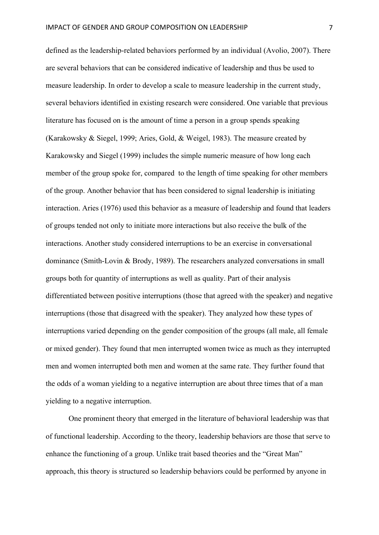defined as the leadership-related behaviors performed by an individual (Avolio, 2007). There are several behaviors that can be considered indicative of leadership and thus be used to measure leadership. In order to develop a scale to measure leadership in the current study, several behaviors identified in existing research were considered. One variable that previous literature has focused on is the amount of time a person in a group spends speaking (Karakowsky & Siegel, 1999; Aries, Gold, & Weigel, 1983). The measure created by Karakowsky and Siegel (1999) includes the simple numeric measure of how long each member of the group spoke for, compared to the length of time speaking for other members of the group. Another behavior that has been considered to signal leadership is initiating interaction. Aries (1976) used this behavior as a measure of leadership and found that leaders of groups tended not only to initiate more interactions but also receive the bulk of the interactions. Another study considered interruptions to be an exercise in conversational dominance (Smith-Lovin & Brody, 1989). The researchers analyzed conversations in small groups both for quantity of interruptions as well as quality. Part of their analysis differentiated between positive interruptions (those that agreed with the speaker) and negative interruptions (those that disagreed with the speaker). They analyzed how these types of interruptions varied depending on the gender composition of the groups (all male, all female or mixed gender). They found that men interrupted women twice as much as they interrupted men and women interrupted both men and women at the same rate. They further found that the odds of a woman yielding to a negative interruption are about three times that of a man yielding to a negative interruption.

One prominent theory that emerged in the literature of behavioral leadership was that of functional leadership. According to the theory, leadership behaviors are those that serve to enhance the functioning of a group. Unlike trait based theories and the "Great Man" approach, this theory is structured so leadership behaviors could be performed by anyone in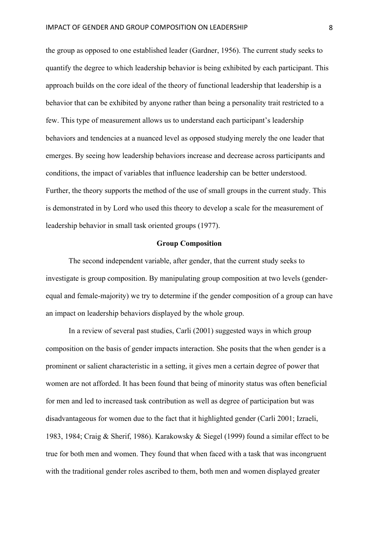the group as opposed to one established leader (Gardner, 1956). The current study seeks to quantify the degree to which leadership behavior is being exhibited by each participant. This approach builds on the core ideal of the theory of functional leadership that leadership is a behavior that can be exhibited by anyone rather than being a personality trait restricted to a few. This type of measurement allows us to understand each participant's leadership behaviors and tendencies at a nuanced level as opposed studying merely the one leader that emerges. By seeing how leadership behaviors increase and decrease across participants and conditions, the impact of variables that influence leadership can be better understood. Further, the theory supports the method of the use of small groups in the current study. This is demonstrated in by Lord who used this theory to develop a scale for the measurement of leadership behavior in small task oriented groups (1977).

## **Group Composition**

The second independent variable, after gender, that the current study seeks to investigate is group composition. By manipulating group composition at two levels (genderequal and female-majority) we try to determine if the gender composition of a group can have an impact on leadership behaviors displayed by the whole group.

In a review of several past studies, Carli (2001) suggested ways in which group composition on the basis of gender impacts interaction. She posits that the when gender is a prominent or salient characteristic in a setting, it gives men a certain degree of power that women are not afforded. It has been found that being of minority status was often beneficial for men and led to increased task contribution as well as degree of participation but was disadvantageous for women due to the fact that it highlighted gender (Carli 2001; Izraeli, 1983, 1984; Craig & Sherif, 1986). Karakowsky & Siegel (1999) found a similar effect to be true for both men and women. They found that when faced with a task that was incongruent with the traditional gender roles ascribed to them, both men and women displayed greater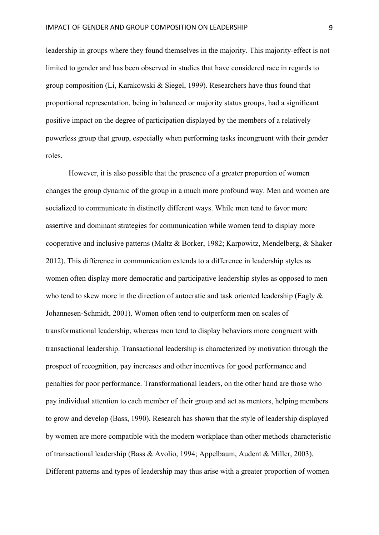leadership in groups where they found themselves in the majority. This majority-effect is not limited to gender and has been observed in studies that have considered race in regards to group composition (Li, Karakowski & Siegel, 1999). Researchers have thus found that proportional representation, being in balanced or majority status groups, had a significant positive impact on the degree of participation displayed by the members of a relatively powerless group that group, especially when performing tasks incongruent with their gender roles.

However, it is also possible that the presence of a greater proportion of women changes the group dynamic of the group in a much more profound way. Men and women are socialized to communicate in distinctly different ways. While men tend to favor more assertive and dominant strategies for communication while women tend to display more cooperative and inclusive patterns (Maltz & Borker, 1982; Karpowitz, Mendelberg, & Shaker 2012). This difference in communication extends to a difference in leadership styles as women often display more democratic and participative leadership styles as opposed to men who tend to skew more in the direction of autocratic and task oriented leadership (Eagly  $\&$ Johannesen-Schmidt, 2001). Women often tend to outperform men on scales of transformational leadership, whereas men tend to display behaviors more congruent with transactional leadership. Transactional leadership is characterized by motivation through the prospect of recognition, pay increases and other incentives for good performance and penalties for poor performance. Transformational leaders, on the other hand are those who pay individual attention to each member of their group and act as mentors, helping members to grow and develop (Bass, 1990). Research has shown that the style of leadership displayed by women are more compatible with the modern workplace than other methods characteristic of transactional leadership (Bass & Avolio, 1994; Appelbaum, Audent & Miller, 2003). Different patterns and types of leadership may thus arise with a greater proportion of women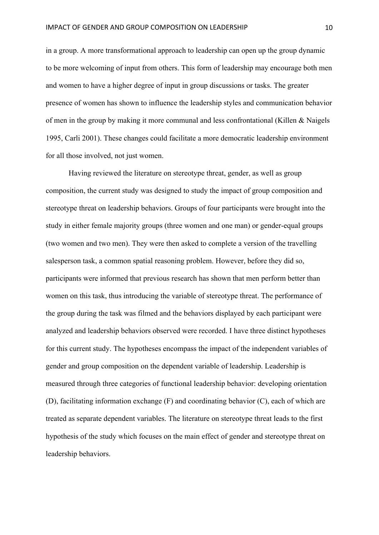in a group. A more transformational approach to leadership can open up the group dynamic to be more welcoming of input from others. This form of leadership may encourage both men and women to have a higher degree of input in group discussions or tasks. The greater presence of women has shown to influence the leadership styles and communication behavior of men in the group by making it more communal and less confrontational (Killen & Naigels 1995, Carli 2001). These changes could facilitate a more democratic leadership environment for all those involved, not just women.

Having reviewed the literature on stereotype threat, gender, as well as group composition, the current study was designed to study the impact of group composition and stereotype threat on leadership behaviors. Groups of four participants were brought into the study in either female majority groups (three women and one man) or gender-equal groups (two women and two men). They were then asked to complete a version of the travelling salesperson task, a common spatial reasoning problem. However, before they did so, participants were informed that previous research has shown that men perform better than women on this task, thus introducing the variable of stereotype threat. The performance of the group during the task was filmed and the behaviors displayed by each participant were analyzed and leadership behaviors observed were recorded. I have three distinct hypotheses for this current study. The hypotheses encompass the impact of the independent variables of gender and group composition on the dependent variable of leadership. Leadership is measured through three categories of functional leadership behavior: developing orientation (D), facilitating information exchange (F) and coordinating behavior (C), each of which are treated as separate dependent variables. The literature on stereotype threat leads to the first hypothesis of the study which focuses on the main effect of gender and stereotype threat on leadership behaviors.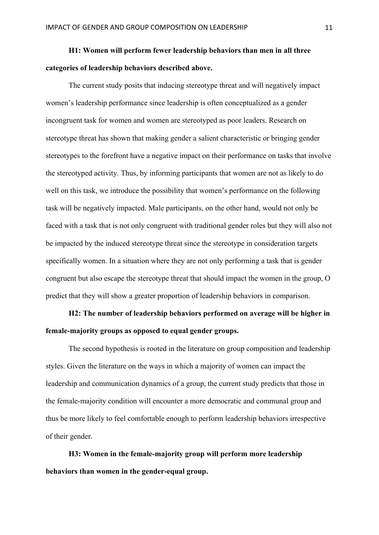## **H1: Women will perform fewer leadership behaviors than men in all three categories of leadership behaviors described above.**

The current study posits that inducing stereotype threat and will negatively impact women's leadership performance since leadership is often conceptualized as a gender incongruent task for women and women are stereotyped as poor leaders. Research on stereotype threat has shown that making gender a salient characteristic or bringing gender stereotypes to the forefront have a negative impact on their performance on tasks that involve the stereotyped activity. Thus, by informing participants that women are not as likely to do well on this task, we introduce the possibility that women's performance on the following task will be negatively impacted. Male participants, on the other hand, would not only be faced with a task that is not only congruent with traditional gender roles but they will also not be impacted by the induced stereotype threat since the stereotype in consideration targets specifically women. In a situation where they are not only performing a task that is gender congruent but also escape the stereotype threat that should impact the women in the group, O predict that they will show a greater proportion of leadership behaviors in comparison.

## **H2: The number of leadership behaviors performed on average will be higher in female-majority groups as opposed to equal gender groups.**

The second hypothesis is rooted in the literature on group composition and leadership styles. Given the literature on the ways in which a majority of women can impact the leadership and communication dynamics of a group, the current study predicts that those in the female-majority condition will encounter a more democratic and communal group and thus be more likely to feel comfortable enough to perform leadership behaviors irrespective of their gender.

**H3: Women in the female-majority group will perform more leadership behaviors than women in the gender-equal group.**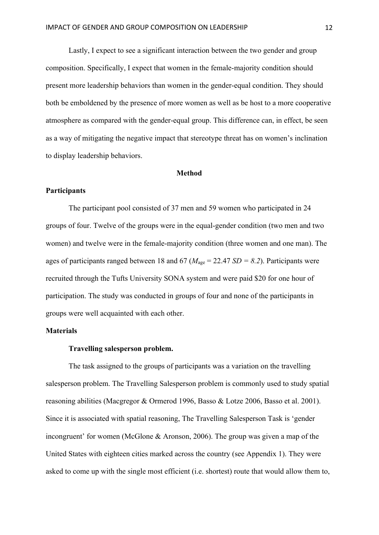Lastly, I expect to see a significant interaction between the two gender and group composition. Specifically, I expect that women in the female-majority condition should present more leadership behaviors than women in the gender-equal condition. They should both be emboldened by the presence of more women as well as be host to a more cooperative atmosphere as compared with the gender-equal group. This difference can, in effect, be seen as a way of mitigating the negative impact that stereotype threat has on women's inclination to display leadership behaviors.

#### **Method**

## **Participants**

The participant pool consisted of 37 men and 59 women who participated in 24 groups of four. Twelve of the groups were in the equal-gender condition (two men and two women) and twelve were in the female-majority condition (three women and one man). The ages of participants ranged between 18 and 67 ( $M_{\text{age}} = 22.47$  *SD* = 8.2). Participants were recruited through the Tufts University SONA system and were paid \$20 for one hour of participation. The study was conducted in groups of four and none of the participants in groups were well acquainted with each other.

## **Materials**

### **Travelling salesperson problem.**

The task assigned to the groups of participants was a variation on the travelling salesperson problem. The Travelling Salesperson problem is commonly used to study spatial reasoning abilities (Macgregor & Ormerod 1996, Basso & Lotze 2006, Basso et al. 2001). Since it is associated with spatial reasoning, The Travelling Salesperson Task is 'gender incongruent' for women (McGlone & Aronson, 2006). The group was given a map of the United States with eighteen cities marked across the country (see Appendix 1). They were asked to come up with the single most efficient (i.e. shortest) route that would allow them to,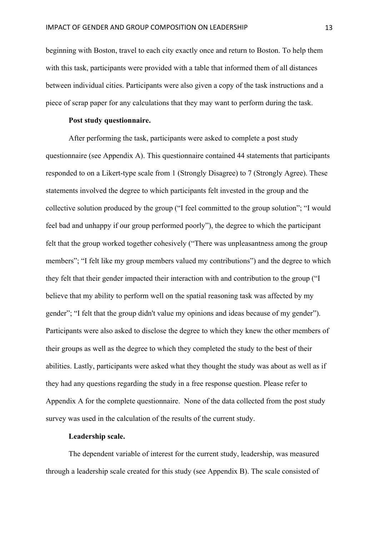beginning with Boston, travel to each city exactly once and return to Boston. To help them with this task, participants were provided with a table that informed them of all distances between individual cities. Participants were also given a copy of the task instructions and a piece of scrap paper for any calculations that they may want to perform during the task.

### **Post study questionnaire.**

After performing the task, participants were asked to complete a post study questionnaire (see Appendix A). This questionnaire contained 44 statements that participants responded to on a Likert-type scale from 1 (Strongly Disagree) to 7 (Strongly Agree). These statements involved the degree to which participants felt invested in the group and the collective solution produced by the group ("I feel committed to the group solution"; "I would feel bad and unhappy if our group performed poorly"), the degree to which the participant felt that the group worked together cohesively ("There was unpleasantness among the group members"; "I felt like my group members valued my contributions") and the degree to which they felt that their gender impacted their interaction with and contribution to the group ("I believe that my ability to perform well on the spatial reasoning task was affected by my gender"; "I felt that the group didn't value my opinions and ideas because of my gender"). Participants were also asked to disclose the degree to which they knew the other members of their groups as well as the degree to which they completed the study to the best of their abilities. Lastly, participants were asked what they thought the study was about as well as if they had any questions regarding the study in a free response question. Please refer to Appendix A for the complete questionnaire. None of the data collected from the post study survey was used in the calculation of the results of the current study.

## **Leadership scale.**

The dependent variable of interest for the current study, leadership, was measured through a leadership scale created for this study (see Appendix B). The scale consisted of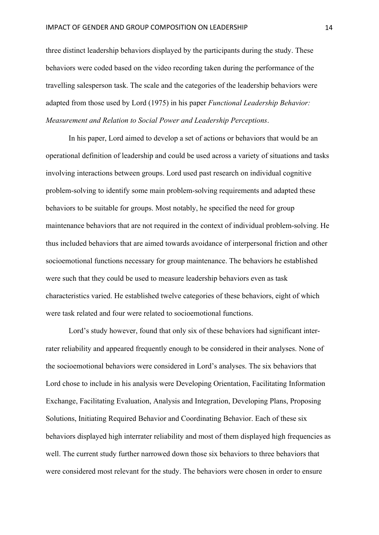three distinct leadership behaviors displayed by the participants during the study. These behaviors were coded based on the video recording taken during the performance of the travelling salesperson task. The scale and the categories of the leadership behaviors were adapted from those used by Lord (1975) in his paper *Functional Leadership Behavior: Measurement and Relation to Social Power and Leadership Perceptions*.

In his paper, Lord aimed to develop a set of actions or behaviors that would be an operational definition of leadership and could be used across a variety of situations and tasks involving interactions between groups. Lord used past research on individual cognitive problem-solving to identify some main problem-solving requirements and adapted these behaviors to be suitable for groups. Most notably, he specified the need for group maintenance behaviors that are not required in the context of individual problem-solving. He thus included behaviors that are aimed towards avoidance of interpersonal friction and other socioemotional functions necessary for group maintenance. The behaviors he established were such that they could be used to measure leadership behaviors even as task characteristics varied. He established twelve categories of these behaviors, eight of which were task related and four were related to socioemotional functions.

Lord's study however, found that only six of these behaviors had significant interrater reliability and appeared frequently enough to be considered in their analyses. None of the socioemotional behaviors were considered in Lord's analyses. The six behaviors that Lord chose to include in his analysis were Developing Orientation, Facilitating Information Exchange, Facilitating Evaluation, Analysis and Integration, Developing Plans, Proposing Solutions, Initiating Required Behavior and Coordinating Behavior. Each of these six behaviors displayed high interrater reliability and most of them displayed high frequencies as well. The current study further narrowed down those six behaviors to three behaviors that were considered most relevant for the study. The behaviors were chosen in order to ensure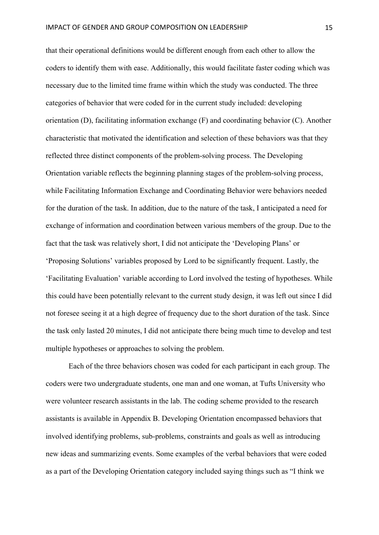that their operational definitions would be different enough from each other to allow the coders to identify them with ease. Additionally, this would facilitate faster coding which was necessary due to the limited time frame within which the study was conducted. The three categories of behavior that were coded for in the current study included: developing orientation (D), facilitating information exchange (F) and coordinating behavior (C). Another characteristic that motivated the identification and selection of these behaviors was that they reflected three distinct components of the problem-solving process. The Developing Orientation variable reflects the beginning planning stages of the problem-solving process, while Facilitating Information Exchange and Coordinating Behavior were behaviors needed for the duration of the task. In addition, due to the nature of the task, I anticipated a need for exchange of information and coordination between various members of the group. Due to the fact that the task was relatively short, I did not anticipate the 'Developing Plans' or 'Proposing Solutions' variables proposed by Lord to be significantly frequent. Lastly, the 'Facilitating Evaluation' variable according to Lord involved the testing of hypotheses. While this could have been potentially relevant to the current study design, it was left out since I did not foresee seeing it at a high degree of frequency due to the short duration of the task. Since the task only lasted 20 minutes, I did not anticipate there being much time to develop and test multiple hypotheses or approaches to solving the problem.

Each of the three behaviors chosen was coded for each participant in each group. The coders were two undergraduate students, one man and one woman, at Tufts University who were volunteer research assistants in the lab. The coding scheme provided to the research assistants is available in Appendix B. Developing Orientation encompassed behaviors that involved identifying problems, sub-problems, constraints and goals as well as introducing new ideas and summarizing events. Some examples of the verbal behaviors that were coded as a part of the Developing Orientation category included saying things such as "I think we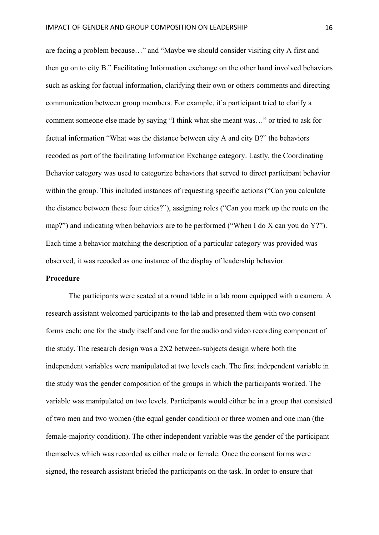are facing a problem because…" and "Maybe we should consider visiting city A first and then go on to city B." Facilitating Information exchange on the other hand involved behaviors such as asking for factual information, clarifying their own or others comments and directing communication between group members. For example, if a participant tried to clarify a comment someone else made by saying "I think what she meant was…" or tried to ask for factual information "What was the distance between city A and city B?" the behaviors recoded as part of the facilitating Information Exchange category. Lastly, the Coordinating Behavior category was used to categorize behaviors that served to direct participant behavior within the group. This included instances of requesting specific actions ("Can you calculate the distance between these four cities?"), assigning roles ("Can you mark up the route on the map?") and indicating when behaviors are to be performed ("When I do X can you do Y?"). Each time a behavior matching the description of a particular category was provided was observed, it was recoded as one instance of the display of leadership behavior.

## **Procedure**

The participants were seated at a round table in a lab room equipped with a camera. A research assistant welcomed participants to the lab and presented them with two consent forms each: one for the study itself and one for the audio and video recording component of the study. The research design was a 2X2 between-subjects design where both the independent variables were manipulated at two levels each. The first independent variable in the study was the gender composition of the groups in which the participants worked. The variable was manipulated on two levels. Participants would either be in a group that consisted of two men and two women (the equal gender condition) or three women and one man (the female-majority condition). The other independent variable was the gender of the participant themselves which was recorded as either male or female. Once the consent forms were signed, the research assistant briefed the participants on the task. In order to ensure that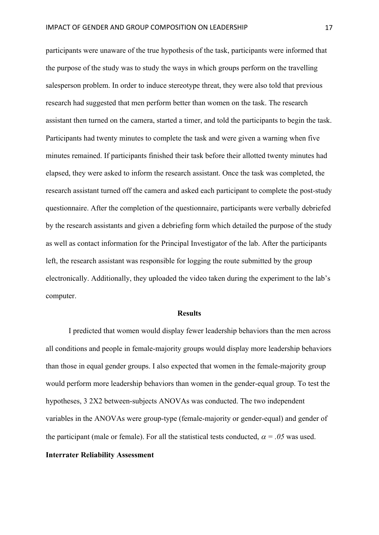participants were unaware of the true hypothesis of the task, participants were informed that the purpose of the study was to study the ways in which groups perform on the travelling salesperson problem. In order to induce stereotype threat, they were also told that previous research had suggested that men perform better than women on the task. The research assistant then turned on the camera, started a timer, and told the participants to begin the task. Participants had twenty minutes to complete the task and were given a warning when five minutes remained. If participants finished their task before their allotted twenty minutes had elapsed, they were asked to inform the research assistant. Once the task was completed, the research assistant turned off the camera and asked each participant to complete the post-study questionnaire. After the completion of the questionnaire, participants were verbally debriefed by the research assistants and given a debriefing form which detailed the purpose of the study as well as contact information for the Principal Investigator of the lab. After the participants left, the research assistant was responsible for logging the route submitted by the group electronically. Additionally, they uploaded the video taken during the experiment to the lab's computer.

#### **Results**

I predicted that women would display fewer leadership behaviors than the men across all conditions and people in female-majority groups would display more leadership behaviors than those in equal gender groups. I also expected that women in the female-majority group would perform more leadership behaviors than women in the gender-equal group. To test the hypotheses, 3 2X2 between-subjects ANOVAs was conducted. The two independent variables in the ANOVAs were group-type (female-majority or gender-equal) and gender of the participant (male or female). For all the statistical tests conducted,  $\alpha = .05$  was used. **Interrater Reliability Assessment**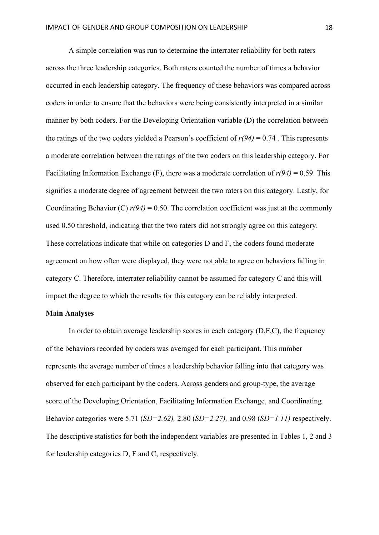A simple correlation was run to determine the interrater reliability for both raters across the three leadership categories. Both raters counted the number of times a behavior occurred in each leadership category. The frequency of these behaviors was compared across coders in order to ensure that the behaviors were being consistently interpreted in a similar manner by both coders. For the Developing Orientation variable (D) the correlation between the ratings of the two coders yielded a Pearson's coefficient of  $r(94) = 0.74$ . This represents a moderate correlation between the ratings of the two coders on this leadership category. For Facilitating Information Exchange (F), there was a moderate correlation of  $r(94) = 0.59$ . This signifies a moderate degree of agreement between the two raters on this category. Lastly, for Coordinating Behavior (C)  $r(94) = 0.50$ . The correlation coefficient was just at the commonly used 0.50 threshold, indicating that the two raters did not strongly agree on this category. These correlations indicate that while on categories D and F, the coders found moderate agreement on how often were displayed, they were not able to agree on behaviors falling in category C. Therefore, interrater reliability cannot be assumed for category C and this will impact the degree to which the results for this category can be reliably interpreted.

## **Main Analyses**

In order to obtain average leadership scores in each category (D,F,C), the frequency of the behaviors recorded by coders was averaged for each participant. This number represents the average number of times a leadership behavior falling into that category was observed for each participant by the coders. Across genders and group-type, the average score of the Developing Orientation, Facilitating Information Exchange, and Coordinating Behavior categories were 5.71 (*SD=2.62),* 2.80 (*SD=2.27),* and 0.98 (*SD=1.11)* respectively. The descriptive statistics for both the independent variables are presented in Tables 1, 2 and 3 for leadership categories D, F and C, respectively.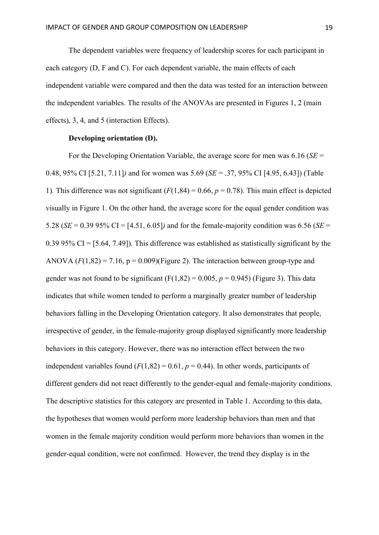The dependent variables were frequency of leadership scores for each participant in each category (D, F and C). For each dependent variable, the main effects of each independent variable were compared and then the data was tested for an interaction between the independent variables. The results of the ANOVAs are presented in Figures 1, 2 (main effects), 3, 4, and 5 (interaction Effects).

## **Developing orientation (D).**

For the Developing Orientation Variable, the average score for men was 6.16 (*SE* = 0.48, 95% CI [5.21, 7.11]*)* and for women was 5.69 (*SE* = .37, 95% CI [4.95, 6.43]) (Table 1). This difference was not significant  $(F(1,84) = 0.66, p = 0.78)$ . This main effect is depicted visually in Figure 1. On the other hand, the average score for the equal gender condition was 5.28 ( $SE = 0.39$  95% CI = [4.51, 6.05]) and for the female-majority condition was 6.56 ( $SE =$ 0.39 95% CI = [5.64, 7.49]). This difference was established as statistically significant by the ANOVA  $(F(1,82) = 7.16, p = 0.009)$  (Figure 2). The interaction between group-type and gender was not found to be significant  $(F(1,82) = 0.005, p = 0.945)$  (Figure 3). This data indicates that while women tended to perform a marginally greater number of leadership behaviors falling in the Developing Orientation category. It also demonstrates that people, irrespective of gender, in the female-majority group displayed significantly more leadership behaviors in this category. However, there was no interaction effect between the two independent variables found  $(F(1,82) = 0.61, p = 0.44)$ . In other words, participants of different genders did not react differently to the gender-equal and female-majority conditions. The descriptive statistics for this category are presented in Table 1. According to this data, the hypotheses that women would perform more leadership behaviors than men and that women in the female majority condition would perform more behaviors than women in the gender-equal condition, were not confirmed. However, the trend they display is in the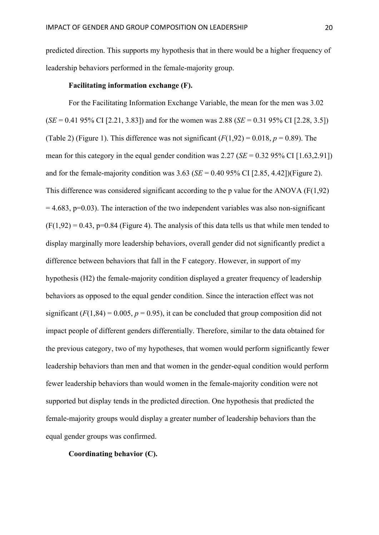predicted direction. This supports my hypothesis that in there would be a higher frequency of leadership behaviors performed in the female-majority group.

## **Facilitating information exchange (F).**

For the Facilitating Information Exchange Variable, the mean for the men was 3.02 (*SE* = 0.41 95% CI [2.21, 3.83]) and for the women was 2.88 (*SE* = 0.31 95% CI [2.28, 3.5]) (Table 2) (Figure 1). This difference was not significant  $(F(1,92) = 0.018, p = 0.89)$ . The mean for this category in the equal gender condition was  $2.27$  (*SE* = 0.32 95% CI [1.63,2.91]) and for the female-majority condition was  $3.63$  (*SE* = 0.40 95% CI [2.85, 4.42])(Figure 2). This difference was considered significant according to the p value for the ANOVA  $(F(1,92))$  $= 4.683$ , p=0.03). The interaction of the two independent variables was also non-significant  $(F(1,92) = 0.43, p=0.84$  (Figure 4). The analysis of this data tells us that while men tended to display marginally more leadership behaviors, overall gender did not significantly predict a difference between behaviors that fall in the F category. However, in support of my hypothesis (H2) the female-majority condition displayed a greater frequency of leadership behaviors as opposed to the equal gender condition. Since the interaction effect was not significant  $(F(1,84) = 0.005, p = 0.95)$ , it can be concluded that group composition did not impact people of different genders differentially. Therefore, similar to the data obtained for the previous category, two of my hypotheses, that women would perform significantly fewer leadership behaviors than men and that women in the gender-equal condition would perform fewer leadership behaviors than would women in the female-majority condition were not supported but display tends in the predicted direction. One hypothesis that predicted the female-majority groups would display a greater number of leadership behaviors than the equal gender groups was confirmed.

**Coordinating behavior (C).**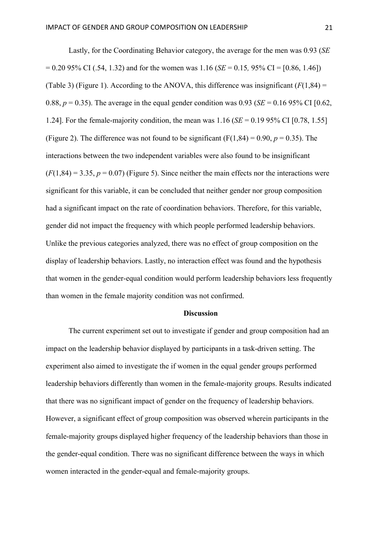Lastly, for the Coordinating Behavior category, the average for the men was 0.93 (*SE* = 0.20 95% CI (.54, 1.32) and for the women was 1.16 (*SE* = 0.15*,* 95% CI = [0.86, 1.46]) (Table 3) (Figure 1). According to the ANOVA, this difference was insignificant  $(F(1,84) =$ 0.88,  $p = 0.35$ ). The average in the equal gender condition was 0.93 (*SE* = 0.16 95% CI [0.62, 1.24]. For the female-majority condition, the mean was 1.16 (*SE* = 0.19 95% CI [0.78, 1.55] (Figure 2). The difference was not found to be significant  $(F(1,84) = 0.90, p = 0.35)$ . The interactions between the two independent variables were also found to be insignificant  $(F(1,84) = 3.35, p = 0.07)$  (Figure 5). Since neither the main effects nor the interactions were significant for this variable, it can be concluded that neither gender nor group composition had a significant impact on the rate of coordination behaviors. Therefore, for this variable, gender did not impact the frequency with which people performed leadership behaviors. Unlike the previous categories analyzed, there was no effect of group composition on the display of leadership behaviors. Lastly, no interaction effect was found and the hypothesis that women in the gender-equal condition would perform leadership behaviors less frequently than women in the female majority condition was not confirmed.

#### **Discussion**

The current experiment set out to investigate if gender and group composition had an impact on the leadership behavior displayed by participants in a task-driven setting. The experiment also aimed to investigate the if women in the equal gender groups performed leadership behaviors differently than women in the female-majority groups. Results indicated that there was no significant impact of gender on the frequency of leadership behaviors. However, a significant effect of group composition was observed wherein participants in the female-majority groups displayed higher frequency of the leadership behaviors than those in the gender-equal condition. There was no significant difference between the ways in which women interacted in the gender-equal and female-majority groups.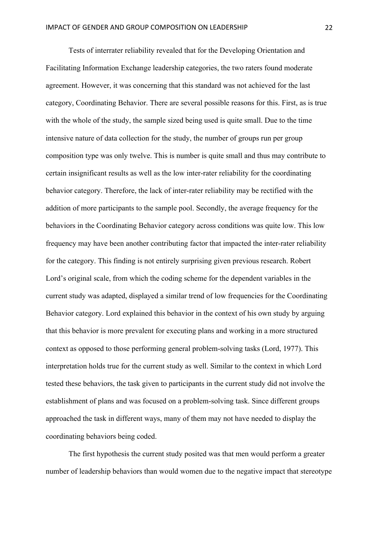Tests of interrater reliability revealed that for the Developing Orientation and Facilitating Information Exchange leadership categories, the two raters found moderate agreement. However, it was concerning that this standard was not achieved for the last category, Coordinating Behavior. There are several possible reasons for this. First, as is true with the whole of the study, the sample sized being used is quite small. Due to the time intensive nature of data collection for the study, the number of groups run per group composition type was only twelve. This is number is quite small and thus may contribute to certain insignificant results as well as the low inter-rater reliability for the coordinating behavior category. Therefore, the lack of inter-rater reliability may be rectified with the addition of more participants to the sample pool. Secondly, the average frequency for the behaviors in the Coordinating Behavior category across conditions was quite low. This low frequency may have been another contributing factor that impacted the inter-rater reliability for the category. This finding is not entirely surprising given previous research. Robert Lord's original scale, from which the coding scheme for the dependent variables in the current study was adapted, displayed a similar trend of low frequencies for the Coordinating Behavior category. Lord explained this behavior in the context of his own study by arguing that this behavior is more prevalent for executing plans and working in a more structured context as opposed to those performing general problem-solving tasks (Lord, 1977). This interpretation holds true for the current study as well. Similar to the context in which Lord tested these behaviors, the task given to participants in the current study did not involve the establishment of plans and was focused on a problem-solving task. Since different groups approached the task in different ways, many of them may not have needed to display the coordinating behaviors being coded.

The first hypothesis the current study posited was that men would perform a greater number of leadership behaviors than would women due to the negative impact that stereotype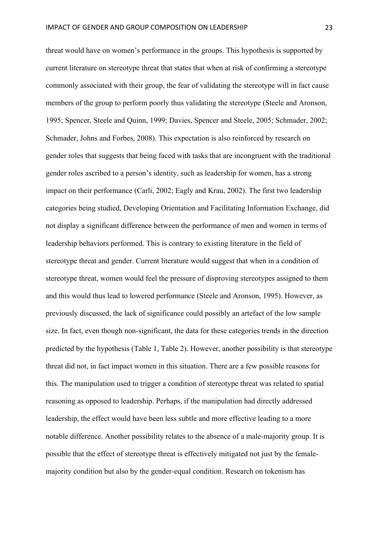threat would have on women's performance in the groups. This hypothesis is supported by current literature on stereotype threat that states that when at risk of confirming a stereotype commonly associated with their group, the fear of validating the stereotype will in fact cause members of the group to perform poorly thus validating the stereotype (Steele and Aronson, 1995; Spencer, Steele and Quinn, 1999; Davies, Spencer and Steele, 2005; Schmader, 2002; Schmader, Johns and Forbes, 2008). This expectation is also reinforced by research on gender roles that suggests that being faced with tasks that are incongruent with the traditional gender roles ascribed to a person's identity, such as leadership for women, has a strong impact on their performance (Carli, 2002; Eagly and Krau, 2002). The first two leadership categories being studied, Developing Orientation and Facilitating Information Exchange, did not display a significant difference between the performance of men and women in terms of leadership behaviors performed. This is contrary to existing literature in the field of stereotype threat and gender. Current literature would suggest that when in a condition of stereotype threat, women would feel the pressure of disproving stereotypes assigned to them and this would thus lead to lowered performance (Steele and Aronson, 1995). However, as previously discussed, the lack of significance could possibly an artefact of the low sample size. In fact, even though non-significant, the data for these categories trends in the direction predicted by the hypothesis (Table 1, Table 2). However, another possibility is that stereotype threat did not, in fact impact women in this situation. There are a few possible reasons for this. The manipulation used to trigger a condition of stereotype threat was related to spatial reasoning as opposed to leadership. Perhaps, if the manipulation had directly addressed leadership, the effect would have been less subtle and more effective leading to a more notable difference. Another possibility relates to the absence of a male-majority group. It is possible that the effect of stereotype threat is effectively mitigated not just by the femalemajority condition but also by the gender-equal condition. Research on tokenism has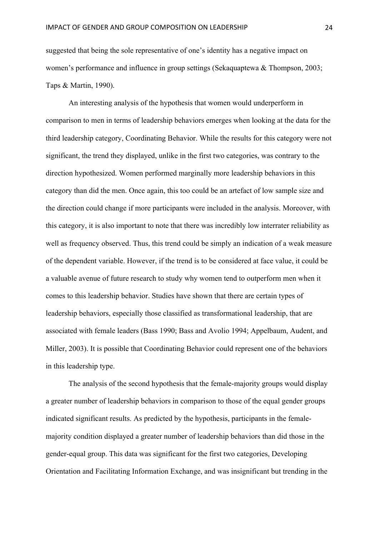suggested that being the sole representative of one's identity has a negative impact on women's performance and influence in group settings (Sekaquaptewa & Thompson, 2003; Taps & Martin, 1990).

An interesting analysis of the hypothesis that women would underperform in comparison to men in terms of leadership behaviors emerges when looking at the data for the third leadership category, Coordinating Behavior. While the results for this category were not significant, the trend they displayed, unlike in the first two categories, was contrary to the direction hypothesized. Women performed marginally more leadership behaviors in this category than did the men. Once again, this too could be an artefact of low sample size and the direction could change if more participants were included in the analysis. Moreover, with this category, it is also important to note that there was incredibly low interrater reliability as well as frequency observed. Thus, this trend could be simply an indication of a weak measure of the dependent variable. However, if the trend is to be considered at face value, it could be a valuable avenue of future research to study why women tend to outperform men when it comes to this leadership behavior. Studies have shown that there are certain types of leadership behaviors, especially those classified as transformational leadership, that are associated with female leaders (Bass 1990; Bass and Avolio 1994; Appelbaum, Audent, and Miller, 2003). It is possible that Coordinating Behavior could represent one of the behaviors in this leadership type.

The analysis of the second hypothesis that the female-majority groups would display a greater number of leadership behaviors in comparison to those of the equal gender groups indicated significant results. As predicted by the hypothesis, participants in the femalemajority condition displayed a greater number of leadership behaviors than did those in the gender-equal group. This data was significant for the first two categories, Developing Orientation and Facilitating Information Exchange, and was insignificant but trending in the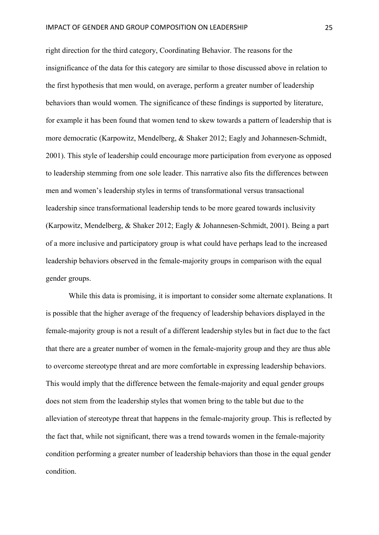right direction for the third category, Coordinating Behavior. The reasons for the insignificance of the data for this category are similar to those discussed above in relation to the first hypothesis that men would, on average, perform a greater number of leadership behaviors than would women. The significance of these findings is supported by literature, for example it has been found that women tend to skew towards a pattern of leadership that is more democratic (Karpowitz, Mendelberg, & Shaker 2012; Eagly and Johannesen-Schmidt, 2001). This style of leadership could encourage more participation from everyone as opposed to leadership stemming from one sole leader. This narrative also fits the differences between men and women's leadership styles in terms of transformational versus transactional leadership since transformational leadership tends to be more geared towards inclusivity (Karpowitz, Mendelberg, & Shaker 2012; Eagly & Johannesen-Schmidt, 2001). Being a part of a more inclusive and participatory group is what could have perhaps lead to the increased leadership behaviors observed in the female-majority groups in comparison with the equal gender groups.

While this data is promising, it is important to consider some alternate explanations. It is possible that the higher average of the frequency of leadership behaviors displayed in the female-majority group is not a result of a different leadership styles but in fact due to the fact that there are a greater number of women in the female-majority group and they are thus able to overcome stereotype threat and are more comfortable in expressing leadership behaviors. This would imply that the difference between the female-majority and equal gender groups does not stem from the leadership styles that women bring to the table but due to the alleviation of stereotype threat that happens in the female-majority group. This is reflected by the fact that, while not significant, there was a trend towards women in the female-majority condition performing a greater number of leadership behaviors than those in the equal gender condition.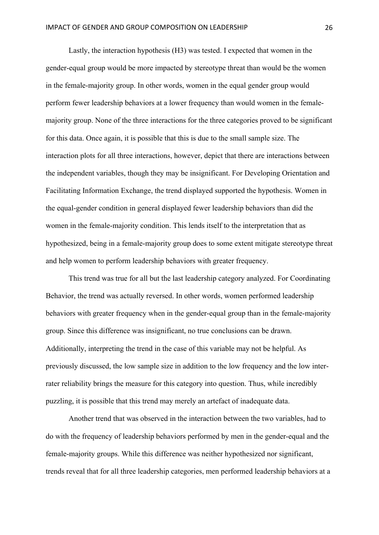Lastly, the interaction hypothesis (H3) was tested. I expected that women in the gender-equal group would be more impacted by stereotype threat than would be the women in the female-majority group. In other words, women in the equal gender group would perform fewer leadership behaviors at a lower frequency than would women in the femalemajority group. None of the three interactions for the three categories proved to be significant for this data. Once again, it is possible that this is due to the small sample size. The interaction plots for all three interactions, however, depict that there are interactions between the independent variables, though they may be insignificant. For Developing Orientation and Facilitating Information Exchange, the trend displayed supported the hypothesis. Women in the equal-gender condition in general displayed fewer leadership behaviors than did the women in the female-majority condition. This lends itself to the interpretation that as hypothesized, being in a female-majority group does to some extent mitigate stereotype threat and help women to perform leadership behaviors with greater frequency.

This trend was true for all but the last leadership category analyzed. For Coordinating Behavior, the trend was actually reversed. In other words, women performed leadership behaviors with greater frequency when in the gender-equal group than in the female-majority group. Since this difference was insignificant, no true conclusions can be drawn. Additionally, interpreting the trend in the case of this variable may not be helpful. As previously discussed, the low sample size in addition to the low frequency and the low interrater reliability brings the measure for this category into question. Thus, while incredibly puzzling, it is possible that this trend may merely an artefact of inadequate data.

Another trend that was observed in the interaction between the two variables, had to do with the frequency of leadership behaviors performed by men in the gender-equal and the female-majority groups. While this difference was neither hypothesized nor significant, trends reveal that for all three leadership categories, men performed leadership behaviors at a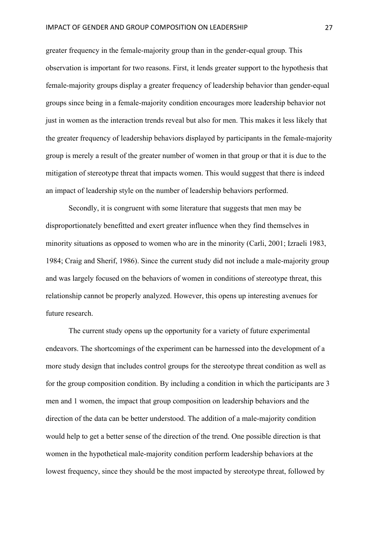greater frequency in the female-majority group than in the gender-equal group. This observation is important for two reasons. First, it lends greater support to the hypothesis that female-majority groups display a greater frequency of leadership behavior than gender-equal groups since being in a female-majority condition encourages more leadership behavior not just in women as the interaction trends reveal but also for men. This makes it less likely that the greater frequency of leadership behaviors displayed by participants in the female-majority group is merely a result of the greater number of women in that group or that it is due to the mitigation of stereotype threat that impacts women. This would suggest that there is indeed an impact of leadership style on the number of leadership behaviors performed.

Secondly, it is congruent with some literature that suggests that men may be disproportionately benefitted and exert greater influence when they find themselves in minority situations as opposed to women who are in the minority (Carli, 2001; Izraeli 1983, 1984; Craig and Sherif, 1986). Since the current study did not include a male-majority group and was largely focused on the behaviors of women in conditions of stereotype threat, this relationship cannot be properly analyzed. However, this opens up interesting avenues for future research.

The current study opens up the opportunity for a variety of future experimental endeavors. The shortcomings of the experiment can be harnessed into the development of a more study design that includes control groups for the stereotype threat condition as well as for the group composition condition. By including a condition in which the participants are 3 men and 1 women, the impact that group composition on leadership behaviors and the direction of the data can be better understood. The addition of a male-majority condition would help to get a better sense of the direction of the trend. One possible direction is that women in the hypothetical male-majority condition perform leadership behaviors at the lowest frequency, since they should be the most impacted by stereotype threat, followed by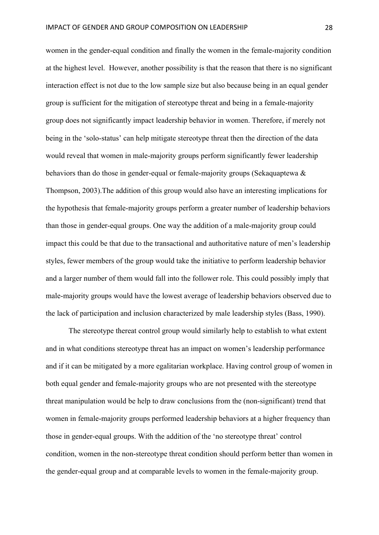women in the gender-equal condition and finally the women in the female-majority condition at the highest level. However, another possibility is that the reason that there is no significant interaction effect is not due to the low sample size but also because being in an equal gender group is sufficient for the mitigation of stereotype threat and being in a female-majority group does not significantly impact leadership behavior in women. Therefore, if merely not being in the 'solo-status' can help mitigate stereotype threat then the direction of the data would reveal that women in male-majority groups perform significantly fewer leadership behaviors than do those in gender-equal or female-majority groups (Sekaquaptewa & Thompson, 2003).The addition of this group would also have an interesting implications for the hypothesis that female-majority groups perform a greater number of leadership behaviors than those in gender-equal groups. One way the addition of a male-majority group could impact this could be that due to the transactional and authoritative nature of men's leadership styles, fewer members of the group would take the initiative to perform leadership behavior and a larger number of them would fall into the follower role. This could possibly imply that male-majority groups would have the lowest average of leadership behaviors observed due to the lack of participation and inclusion characterized by male leadership styles (Bass, 1990).

The stereotype thereat control group would similarly help to establish to what extent and in what conditions stereotype threat has an impact on women's leadership performance and if it can be mitigated by a more egalitarian workplace. Having control group of women in both equal gender and female-majority groups who are not presented with the stereotype threat manipulation would be help to draw conclusions from the (non-significant) trend that women in female-majority groups performed leadership behaviors at a higher frequency than those in gender-equal groups. With the addition of the 'no stereotype threat' control condition, women in the non-stereotype threat condition should perform better than women in the gender-equal group and at comparable levels to women in the female-majority group.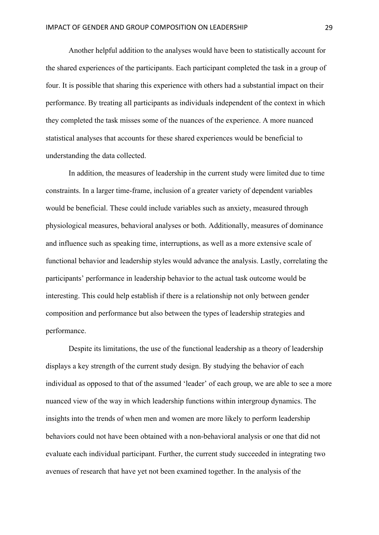Another helpful addition to the analyses would have been to statistically account for the shared experiences of the participants. Each participant completed the task in a group of four. It is possible that sharing this experience with others had a substantial impact on their performance. By treating all participants as individuals independent of the context in which they completed the task misses some of the nuances of the experience. A more nuanced statistical analyses that accounts for these shared experiences would be beneficial to understanding the data collected.

In addition, the measures of leadership in the current study were limited due to time constraints. In a larger time-frame, inclusion of a greater variety of dependent variables would be beneficial. These could include variables such as anxiety, measured through physiological measures, behavioral analyses or both. Additionally, measures of dominance and influence such as speaking time, interruptions, as well as a more extensive scale of functional behavior and leadership styles would advance the analysis. Lastly, correlating the participants' performance in leadership behavior to the actual task outcome would be interesting. This could help establish if there is a relationship not only between gender composition and performance but also between the types of leadership strategies and performance.

Despite its limitations, the use of the functional leadership as a theory of leadership displays a key strength of the current study design. By studying the behavior of each individual as opposed to that of the assumed 'leader' of each group, we are able to see a more nuanced view of the way in which leadership functions within intergroup dynamics. The insights into the trends of when men and women are more likely to perform leadership behaviors could not have been obtained with a non-behavioral analysis or one that did not evaluate each individual participant. Further, the current study succeeded in integrating two avenues of research that have yet not been examined together. In the analysis of the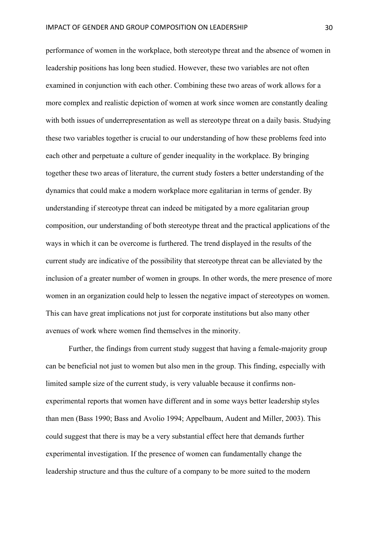performance of women in the workplace, both stereotype threat and the absence of women in leadership positions has long been studied. However, these two variables are not often examined in conjunction with each other. Combining these two areas of work allows for a more complex and realistic depiction of women at work since women are constantly dealing with both issues of underrepresentation as well as stereotype threat on a daily basis. Studying these two variables together is crucial to our understanding of how these problems feed into each other and perpetuate a culture of gender inequality in the workplace. By bringing together these two areas of literature, the current study fosters a better understanding of the dynamics that could make a modern workplace more egalitarian in terms of gender. By understanding if stereotype threat can indeed be mitigated by a more egalitarian group composition, our understanding of both stereotype threat and the practical applications of the ways in which it can be overcome is furthered. The trend displayed in the results of the current study are indicative of the possibility that stereotype threat can be alleviated by the inclusion of a greater number of women in groups. In other words, the mere presence of more women in an organization could help to lessen the negative impact of stereotypes on women. This can have great implications not just for corporate institutions but also many other avenues of work where women find themselves in the minority.

Further, the findings from current study suggest that having a female-majority group can be beneficial not just to women but also men in the group. This finding, especially with limited sample size of the current study, is very valuable because it confirms nonexperimental reports that women have different and in some ways better leadership styles than men (Bass 1990; Bass and Avolio 1994; Appelbaum, Audent and Miller, 2003). This could suggest that there is may be a very substantial effect here that demands further experimental investigation. If the presence of women can fundamentally change the leadership structure and thus the culture of a company to be more suited to the modern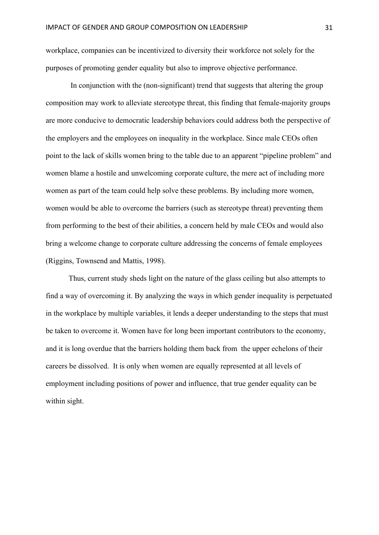workplace, companies can be incentivized to diversity their workforce not solely for the purposes of promoting gender equality but also to improve objective performance.

In conjunction with the (non-significant) trend that suggests that altering the group composition may work to alleviate stereotype threat, this finding that female-majority groups are more conducive to democratic leadership behaviors could address both the perspective of the employers and the employees on inequality in the workplace. Since male CEOs often point to the lack of skills women bring to the table due to an apparent "pipeline problem" and women blame a hostile and unwelcoming corporate culture, the mere act of including more women as part of the team could help solve these problems. By including more women, women would be able to overcome the barriers (such as stereotype threat) preventing them from performing to the best of their abilities, a concern held by male CEOs and would also bring a welcome change to corporate culture addressing the concerns of female employees (Riggins, Townsend and Mattis, 1998).

Thus, current study sheds light on the nature of the glass ceiling but also attempts to find a way of overcoming it. By analyzing the ways in which gender inequality is perpetuated in the workplace by multiple variables, it lends a deeper understanding to the steps that must be taken to overcome it. Women have for long been important contributors to the economy, and it is long overdue that the barriers holding them back from the upper echelons of their careers be dissolved. It is only when women are equally represented at all levels of employment including positions of power and influence, that true gender equality can be within sight.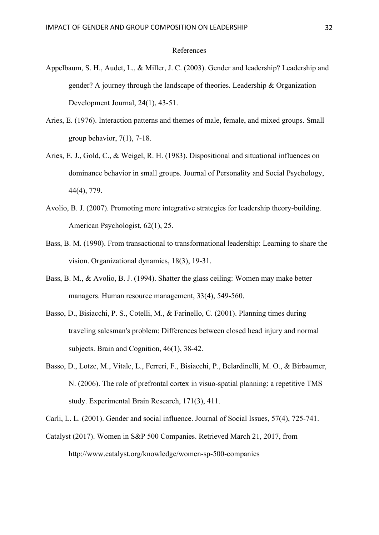#### References

- Appelbaum, S. H., Audet, L., & Miller, J. C. (2003). Gender and leadership? Leadership and gender? A journey through the landscape of theories. Leadership & Organization Development Journal, 24(1), 43-51.
- Aries, E. (1976). Interaction patterns and themes of male, female, and mixed groups. Small group behavior, 7(1), 7-18.
- Aries, E. J., Gold, C., & Weigel, R. H. (1983). Dispositional and situational influences on dominance behavior in small groups. Journal of Personality and Social Psychology, 44(4), 779.
- Avolio, B. J. (2007). Promoting more integrative strategies for leadership theory-building. American Psychologist, 62(1), 25.
- Bass, B. M. (1990). From transactional to transformational leadership: Learning to share the vision. Organizational dynamics, 18(3), 19-31.
- Bass, B. M., & Avolio, B. J. (1994). Shatter the glass ceiling: Women may make better managers. Human resource management, 33(4), 549-560.
- Basso, D., Bisiacchi, P. S., Cotelli, M., & Farinello, C. (2001). Planning times during traveling salesman's problem: Differences between closed head injury and normal subjects. Brain and Cognition, 46(1), 38-42.
- Basso, D., Lotze, M., Vitale, L., Ferreri, F., Bisiacchi, P., Belardinelli, M. O., & Birbaumer, N. (2006). The role of prefrontal cortex in visuo-spatial planning: a repetitive TMS study. Experimental Brain Research, 171(3), 411.

Carli, L. L. (2001). Gender and social influence. Journal of Social Issues, 57(4), 725-741.

Catalyst (2017). Women in S&P 500 Companies. Retrieved March 21, 2017, from http://www.catalyst.org/knowledge/women-sp-500-companies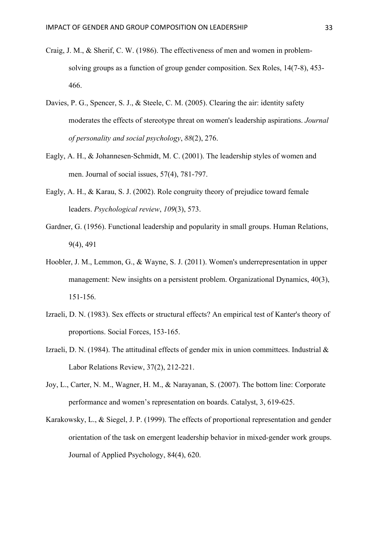- Craig, J. M., & Sherif, C. W. (1986). The effectiveness of men and women in problemsolving groups as a function of group gender composition. Sex Roles, 14(7-8), 453- 466.
- Davies, P. G., Spencer, S. J., & Steele, C. M. (2005). Clearing the air: identity safety moderates the effects of stereotype threat on women's leadership aspirations. *Journal of personality and social psychology*, *88*(2), 276.
- Eagly, A. H., & Johannesen-Schmidt, M. C. (2001). The leadership styles of women and men. Journal of social issues, 57(4), 781-797.
- Eagly, A. H., & Karau, S. J. (2002). Role congruity theory of prejudice toward female leaders. *Psychological review*, *109*(3), 573.
- Gardner, G. (1956). Functional leadership and popularity in small groups. Human Relations, 9(4), 491
- Hoobler, J. M., Lemmon, G., & Wayne, S. J. (2011). Women's underrepresentation in upper management: New insights on a persistent problem. Organizational Dynamics, 40(3), 151-156.
- Izraeli, D. N. (1983). Sex effects or structural effects? An empirical test of Kanter's theory of proportions. Social Forces, 153-165.
- Izraeli, D. N. (1984). The attitudinal effects of gender mix in union committees. Industrial  $\&$ Labor Relations Review, 37(2), 212-221.
- Joy, L., Carter, N. M., Wagner, H. M., & Narayanan, S. (2007). The bottom line: Corporate performance and women's representation on boards. Catalyst, 3, 619-625.
- Karakowsky, L., & Siegel, J. P. (1999). The effects of proportional representation and gender orientation of the task on emergent leadership behavior in mixed-gender work groups. Journal of Applied Psychology, 84(4), 620.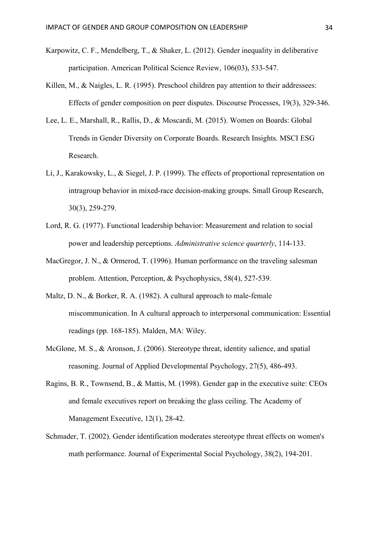- Karpowitz, C. F., Mendelberg, T., & Shaker, L. (2012). Gender inequality in deliberative participation. American Political Science Review, 106(03), 533-547.
- Killen, M., & Naigles, L. R. (1995). Preschool children pay attention to their addressees: Effects of gender composition on peer disputes. Discourse Processes, 19(3), 329-346.
- Lee, L. E., Marshall, R., Rallis, D., & Moscardi, M. (2015). Women on Boards: Global Trends in Gender Diversity on Corporate Boards. Research Insights. MSCI ESG Research.
- Li, J., Karakowsky, L., & Siegel, J. P. (1999). The effects of proportional representation on intragroup behavior in mixed-race decision-making groups. Small Group Research, 30(3), 259-279.
- Lord, R. G. (1977). Functional leadership behavior: Measurement and relation to social power and leadership perceptions. *Administrative science quarterly*, 114-133.
- MacGregor, J. N., & Ormerod, T. (1996). Human performance on the traveling salesman problem. Attention, Perception, & Psychophysics, 58(4), 527-539.
- Maltz, D. N., & Borker, R. A. (1982). A cultural approach to male-female miscommunication. In A cultural approach to interpersonal communication: Essential readings (pp. 168-185). Malden, MA: Wiley.
- McGlone, M. S., & Aronson, J. (2006). Stereotype threat, identity salience, and spatial reasoning. Journal of Applied Developmental Psychology, 27(5), 486-493.
- Ragins, B. R., Townsend, B., & Mattis, M. (1998). Gender gap in the executive suite: CEOs and female executives report on breaking the glass ceiling. The Academy of Management Executive, 12(1), 28-42.
- Schmader, T. (2002). Gender identification moderates stereotype threat effects on women's math performance. Journal of Experimental Social Psychology, 38(2), 194-201.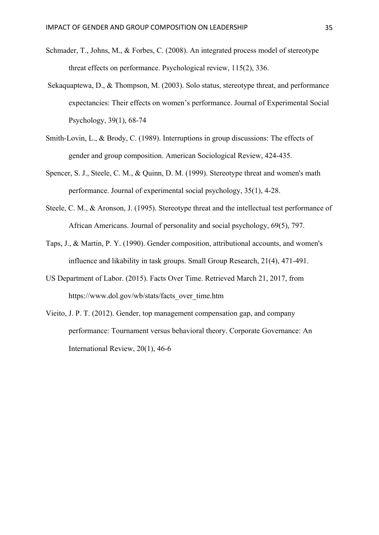- Schmader, T., Johns, M., & Forbes, C. (2008). An integrated process model of stereotype threat effects on performance. Psychological review, 115(2), 336.
- Sekaquaptewa, D., & Thompson, M. (2003). Solo status, stereotype threat, and performance expectancies: Their effects on women's performance. Journal of Experimental Social Psychology, 39(1), 68-74
- Smith-Lovin, L., & Brody, C. (1989). Interruptions in group discussions: The effects of gender and group composition. American Sociological Review, 424-435.
- Spencer, S. J., Steele, C. M., & Quinn, D. M. (1999). Stereotype threat and women's math performance. Journal of experimental social psychology, 35(1), 4-28.
- Steele, C. M., & Aronson, J. (1995). Stereotype threat and the intellectual test performance of African Americans. Journal of personality and social psychology, 69(5), 797.
- Taps, J., & Martin, P. Y. (1990). Gender composition, attributional accounts, and women's influence and likability in task groups. Small Group Research, 21(4), 471-491.
- US Department of Labor. (2015). Facts Over Time. Retrieved March 21, 2017, from https://www.dol.gov/wb/stats/facts\_over\_time.htm
- Vieito, J. P. T. (2012). Gender, top management compensation gap, and company performance: Tournament versus behavioral theory. Corporate Governance: An International Review, 20(1), 46-6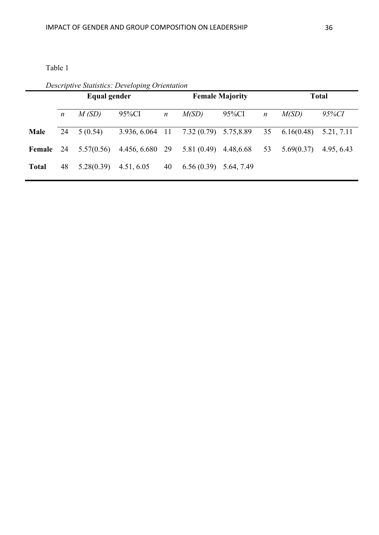Table 1

*Descriptive Statistics: Developing Orientation*

|              | Equal gender |            |                 |                  | <b>Female Majority</b> |            |                  | <b>Total</b> |            |
|--------------|--------------|------------|-----------------|------------------|------------------------|------------|------------------|--------------|------------|
|              | n            | M(SD)      | 95%CI           | $\boldsymbol{n}$ | M(SD)                  | 95%CI      | $\boldsymbol{n}$ | M(SD)        | 95%CI      |
| <b>Male</b>  | 24           | 5(0.54)    | 3.936, 6.064 11 |                  | 7.32(0.79)             | 5.75,8.89  | 35               | 6.16(0.48)   | 5.21, 7.11 |
| Female 24    |              | 5.57(0.56) | 4.456, 6.680 29 |                  | 5.81(0.49)             | 4.48,6.68  | 53               | 5.69(0.37)   | 4.95, 6.43 |
| <b>Total</b> | 48           | 5.28(0.39) | 4.51, 6.05      | 40               | 6.56(0.39)             | 5.64, 7.49 |                  |              |            |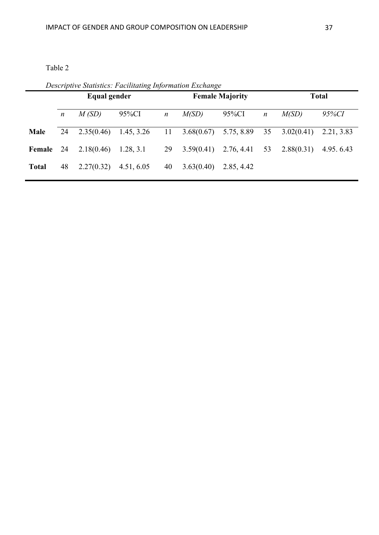Table 2

*Descriptive Statistics: Facilitating Information Exchange*

|              | Equal gender     |            | <b>Female Majority</b> |                  |            |                              | <b>Total</b>     |            |              |
|--------------|------------------|------------|------------------------|------------------|------------|------------------------------|------------------|------------|--------------|
|              | $\boldsymbol{n}$ | M(SD)      | 95%CI                  | $\boldsymbol{n}$ | M(SD)      | 95%CI                        | $\boldsymbol{n}$ | M(SD)      | <i>95%CI</i> |
| Male         | 24               | 2.35(0.46) | 1.45, 3.26             | 11               | 3.68(0.67) | 5.75, 8.89                   | 35               | 3.02(0.41) | 2.21, 3.83   |
| Female 24    |                  | 2.18(0.46) | 1.28, 3.1              | 29               |            | $3.59(0.41)$ $2.76, 4.41$ 53 |                  | 2.88(0.31) | 4.95.6.43    |
| <b>Total</b> | 48               | 2.27(0.32) | 4.51, 6.05             | 40               | 3.63(0.40) | 2.85, 4.42                   |                  |            |              |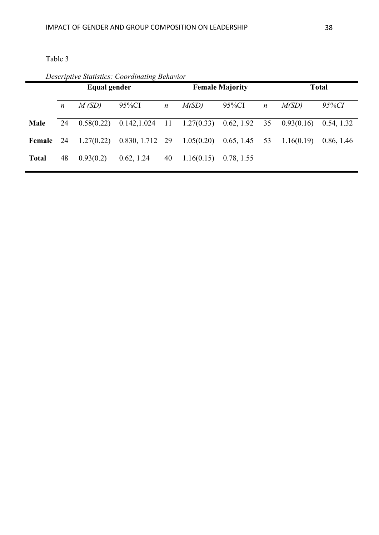Table 3

|              | Equal gender     |            |                                                                         | <b>Female Majority</b> |            |            | <b>Total</b>     |            |            |
|--------------|------------------|------------|-------------------------------------------------------------------------|------------------------|------------|------------|------------------|------------|------------|
|              | $\boldsymbol{n}$ | M(SD)      | 95%CI                                                                   | $\boldsymbol{n}$       | M(SD)      | 95%CI      | $\boldsymbol{n}$ | M(SD)      | 95%CI      |
| <b>Male</b>  | 24               |            | $0.58(0.22)$ $0.142,1.024$ 11 $1.27(0.33)$ $0.62, 1.92$ 35 $0.93(0.16)$ |                        |            |            |                  |            | 0.54, 1.32 |
| Female 24    |                  | 1.27(0.22) | $0.830, 1.712, 29, 1.05(0.20), 0.65, 1.45, 53$                          |                        |            |            |                  | 1.16(0.19) | 0.86, 1.46 |
| <b>Total</b> | 48               | 0.93(0.2)  | 0.62, 1.24                                                              | 40                     | 1.16(0.15) | 0.78, 1.55 |                  |            |            |

*Descriptive Statistics: Coordinating Behavior*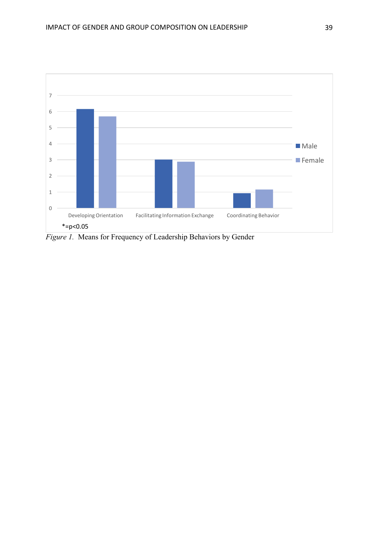

*Figure 1.* Means for Frequency of Leadership Behaviors by Gender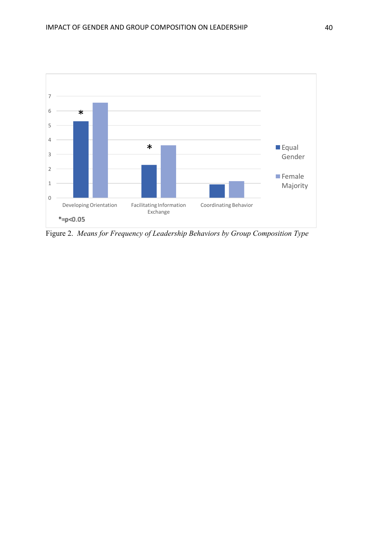

Figure 2. *Means for Frequency of Leadership Behaviors by Group Composition Type*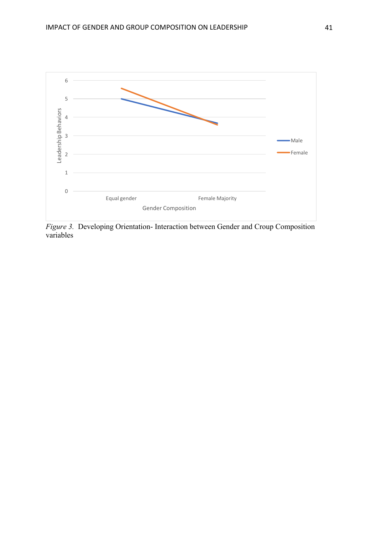

*Figure 3.* Developing Orientation- Interaction between Gender and Croup Composition variables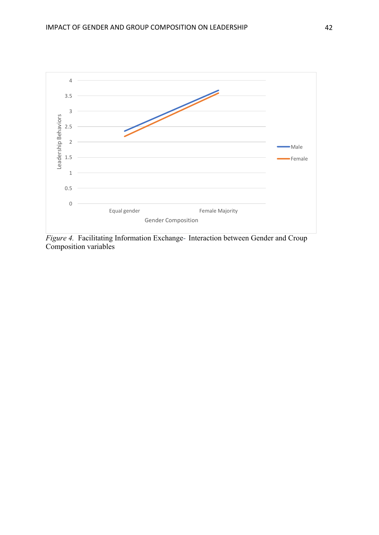

*Figure 4.* Facilitating Information Exchange- Interaction between Gender and Croup Composition variables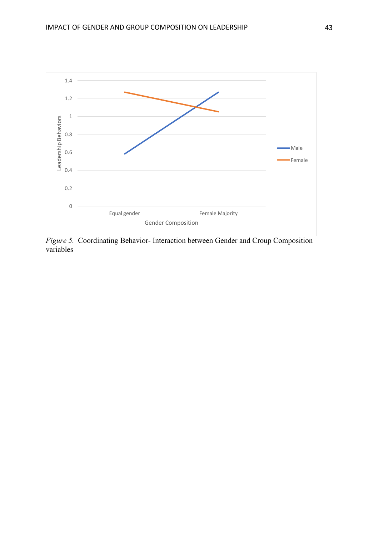

*Figure 5.* Coordinating Behavior- Interaction between Gender and Croup Composition variables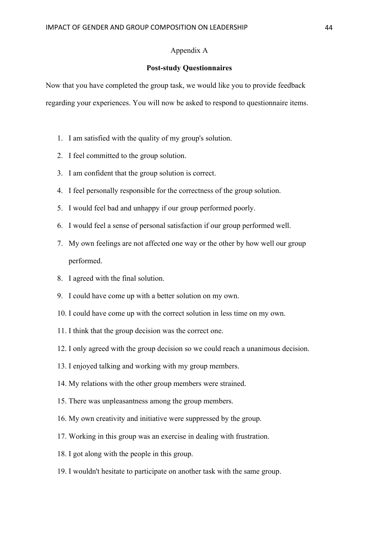## Appendix A

#### **Post-study Questionnaires**

Now that you have completed the group task, we would like you to provide feedback regarding your experiences. You will now be asked to respond to questionnaire items.

- 1. I am satisfied with the quality of my group's solution.
- 2. I feel committed to the group solution.
- 3. I am confident that the group solution is correct.
- 4. I feel personally responsible for the correctness of the group solution.
- 5. I would feel bad and unhappy if our group performed poorly.
- 6. I would feel a sense of personal satisfaction if our group performed well.
- 7. My own feelings are not affected one way or the other by how well our group performed.
- 8. I agreed with the final solution.
- 9. I could have come up with a better solution on my own.
- 10. I could have come up with the correct solution in less time on my own.
- 11. I think that the group decision was the correct one.
- 12. I only agreed with the group decision so we could reach a unanimous decision.
- 13. I enjoyed talking and working with my group members.
- 14. My relations with the other group members were strained.
- 15. There was unpleasantness among the group members.
- 16. My own creativity and initiative were suppressed by the group.
- 17. Working in this group was an exercise in dealing with frustration.
- 18. I got along with the people in this group.
- 19. I wouldn't hesitate to participate on another task with the same group.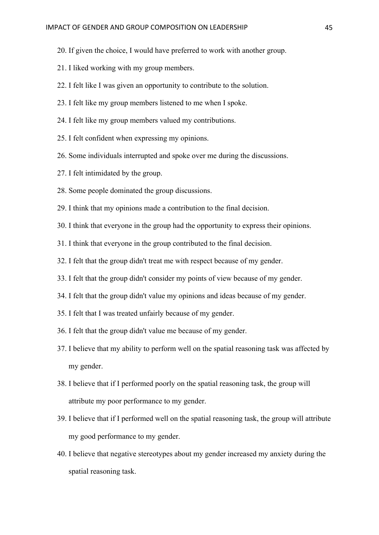- 20. If given the choice, I would have preferred to work with another group.
- 21. I liked working with my group members.
- 22. I felt like I was given an opportunity to contribute to the solution.
- 23. I felt like my group members listened to me when I spoke.
- 24. I felt like my group members valued my contributions.
- 25. I felt confident when expressing my opinions.
- 26. Some individuals interrupted and spoke over me during the discussions.
- 27. I felt intimidated by the group.
- 28. Some people dominated the group discussions.
- 29. I think that my opinions made a contribution to the final decision.
- 30. I think that everyone in the group had the opportunity to express their opinions.
- 31. I think that everyone in the group contributed to the final decision.
- 32. I felt that the group didn't treat me with respect because of my gender.
- 33. I felt that the group didn't consider my points of view because of my gender.
- 34. I felt that the group didn't value my opinions and ideas because of my gender.
- 35. I felt that I was treated unfairly because of my gender.
- 36. I felt that the group didn't value me because of my gender.
- 37. I believe that my ability to perform well on the spatial reasoning task was affected by my gender.
- 38. I believe that if I performed poorly on the spatial reasoning task, the group will attribute my poor performance to my gender.
- 39. I believe that if I performed well on the spatial reasoning task, the group will attribute my good performance to my gender.
- 40. I believe that negative stereotypes about my gender increased my anxiety during the spatial reasoning task.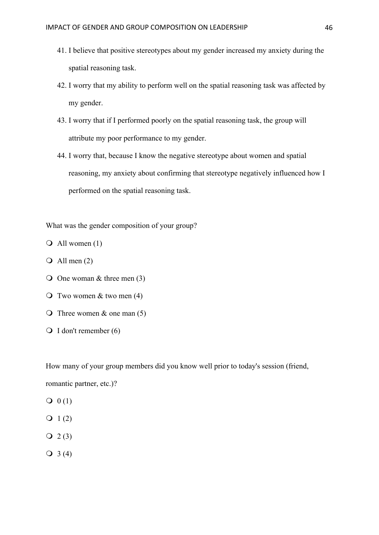- 41. I believe that positive stereotypes about my gender increased my anxiety during the spatial reasoning task.
- 42. I worry that my ability to perform well on the spatial reasoning task was affected by my gender.
- 43. I worry that if I performed poorly on the spatial reasoning task, the group will attribute my poor performance to my gender.
- 44. I worry that, because I know the negative stereotype about women and spatial reasoning, my anxiety about confirming that stereotype negatively influenced how I performed on the spatial reasoning task.

What was the gender composition of your group?

 $\overline{O}$  All women (1)

- $\overline{Q}$  All men (2)
- $\overline{O}$  One woman & three men (3)
- $\overline{Q}$  Two women & two men (4)
- $\overline{O}$  Three women & one man (5)
- $\bigcirc$  I don't remember (6)

How many of your group members did you know well prior to today's session (friend, romantic partner, etc.)?

- $Q(0(1))$
- $Q_1(2)$
- $Q_2(3)$
- $Q_3(4)$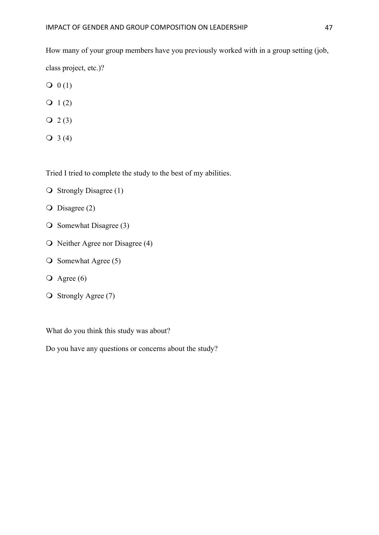How many of your group members have you previously worked with in a group setting (job, class project, etc.)?

- $Q(1)$
- $Q_1(2)$
- $Q_2(3)$
- $Q_3(4)$

Tried I tried to complete the study to the best of my abilities.

- $\overline{O}$  Strongly Disagree (1)
- $\overline{O}$  Disagree (2)
- $\overline{O}$  Somewhat Disagree (3)
- $\overline{O}$  Neither Agree nor Disagree (4)
- $\overline{O}$  Somewhat Agree (5)
- $\overline{O}$  Agree (6)
- $\overline{O}$  Strongly Agree (7)

What do you think this study was about?

Do you have any questions or concerns about the study?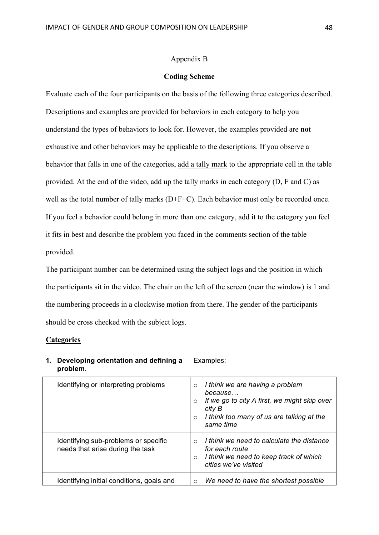#### Appendix B

#### **Coding Scheme**

Evaluate each of the four participants on the basis of the following three categories described. Descriptions and examples are provided for behaviors in each category to help you understand the types of behaviors to look for. However, the examples provided are **not** exhaustive and other behaviors may be applicable to the descriptions. If you observe a behavior that falls in one of the categories, add a tally mark to the appropriate cell in the table provided. At the end of the video, add up the tally marks in each category (D, F and C) as well as the total number of tally marks (D+F+C). Each behavior must only be recorded once. If you feel a behavior could belong in more than one category, add it to the category you feel it fits in best and describe the problem you faced in the comments section of the table provided.

The participant number can be determined using the subject logs and the position in which the participants sit in the video. The chair on the left of the screen (near the window) is 1 and the numbering proceeds in a clockwise motion from there. The gender of the participants should be cross checked with the subject logs.

## **Categories**

**1. Developing orientation and defining a problem**.

#### Examples:

| Identifying or interpreting problems                                     | I think we are having a problem<br>$\circ$<br>because<br>If we go to city A first, we might skip over<br>$\Omega$<br>city B<br>I think too many of us are talking at the<br>$\Omega$<br>same time |
|--------------------------------------------------------------------------|---------------------------------------------------------------------------------------------------------------------------------------------------------------------------------------------------|
| Identifying sub-problems or specific<br>needs that arise during the task | I think we need to calculate the distance<br>for each route<br>I think we need to keep track of which<br>$\Omega$<br>cities we've visited                                                         |
| Identifying initial conditions, goals and                                | We need to have the shortest possible<br>$\bigcirc$                                                                                                                                               |